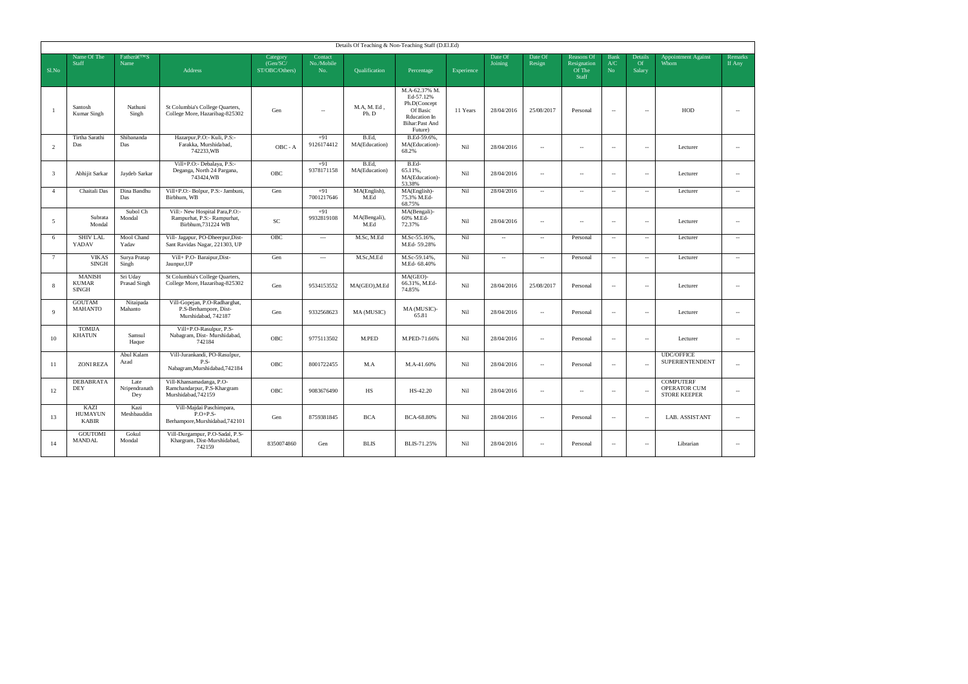| Details Of Teaching & Non-Teaching Staff (D.El.Ed) |                                               |                              |                                                                                      |                                        |                              |                        |                                                                                                            |            |                    |                   |                                                     |                           |                         |                                                         |                          |
|----------------------------------------------------|-----------------------------------------------|------------------------------|--------------------------------------------------------------------------------------|----------------------------------------|------------------------------|------------------------|------------------------------------------------------------------------------------------------------------|------------|--------------------|-------------------|-----------------------------------------------------|---------------------------|-------------------------|---------------------------------------------------------|--------------------------|
| Sl.No                                              | Name Of The<br>Staff                          | Father'S<br>Name             | <b>Address</b>                                                                       | Category<br>(Gen/SC/<br>ST/OBC/Others) | Contact<br>No./Mobile<br>No. | Qualification          | Percentage                                                                                                 | Experience | Date Of<br>Joining | Date Of<br>Resign | <b>Reasons Of</b><br>Resignation<br>Of The<br>Staff | <b>Bank</b><br>A/C<br>No. | Details<br>Of<br>Salary | <b>Appointment Against</b><br>Whom                      | Remarks<br>If Any        |
| $\overline{1}$                                     | Santosh<br>Kumar Singh                        | Nathuni<br>Singh             | St Columbia's College Quarters,<br>College More, Hazaribag-825302                    | Gen                                    | $\sim$                       | M.A.M.Ed.<br>Ph. D     | M.A-62.37% M.<br>Ed-57.12%<br>Ph.D(Concept<br>Of Basic<br><b>Rducation In</b><br>Bihar:Past And<br>Future) | 11 Years   | 28/04/2016         | 25/08/2017        | Personal                                            | $\sim$                    | $\sim$                  | HOD                                                     | $\sim$                   |
| $\overline{2}$                                     | Tirtha Sarathi<br>Das                         | Shibananda<br>Das            | Hazarpur, P.O:- Kuli, P.S:-<br>Farakka, Murshidabad,<br>742233, WB                   | OBC - A                                | $+91$<br>9126174412          | B.Ed,<br>MA(Education) | B.Ed-59.6%.<br>MA(Education)-<br>68.2%                                                                     | Nil        | 28/04/2016         | $\sim$            | $\sim$                                              | $\sim$                    | ä,                      | Lecturer                                                | $\overline{\phantom{a}}$ |
| $\overline{\mathbf{3}}$                            | Abhijit Sarkar                                | Jaydeb Sarkar                | Vill+P.O:- Debalaya, P.S:-<br>Deganga, North 24 Pargana,<br>743424.WB                | OBC                                    | $+91$<br>9378171158          | B.Ed.<br>MA(Education) | B.Ed-<br>65.11%,<br>MA(Education)-<br>53.38%                                                               | Nil        | 28/04/2016         | $\sim$            | $\sim$                                              | $\sim$                    | $\sim$                  | Lecturer                                                | $\sim$                   |
| $\overline{4}$                                     | Chaitali Das                                  | Dina Bandhu<br>Das           | Vill+P.O:- Bolpur, P.S:- Jambuni,<br>Birbhum, WB                                     | Gen                                    | $+91$<br>7001217646          | MA(English).<br>M.Ed   | MA(English)-<br>75.3% M.Ed-<br>68.75%                                                                      | Nil        | 28/04/2016         | $\sim$            | $\sim$                                              | $\sim$                    | $\sim$                  | Lecturer                                                | $\sim$                   |
| - 5                                                | Subrata<br>Mondal                             | Subol Ch<br>Mondal           | Vill:- New Hospital Para, P.O:-<br>Rampurhat, P.S:- Rampurhat,<br>Birbhum, 731224 WB | $\ensuremath{\mathsf{SC}}$             | $+91$<br>9932819108          | MA(Bengali),<br>M.Ed   | MA(Bengali)-<br>60% M.Ed-<br>72.37%                                                                        | Nil        | 28/04/2016         | $\sim$            | $\sim$                                              | $\sim$                    | $\sim$                  | Lecturer                                                | $\overline{\phantom{a}}$ |
| 6                                                  | <b>SHIV LAL</b><br>YADAV                      | Mool Chand<br>Yadav          | Vill- Jagapur, PO-Dheerpur, Dist-<br>Sant Ravidas Nagar, 221303, UP                  | OBC                                    | $\ldots$                     | M.Sc, M.Ed             | M.Sc-55.16%,<br>M.Ed-59.28%                                                                                | Nil        | $\sim$             | $\sim$            | Personal                                            | $\sim$                    | $\sim$                  | Lecturer                                                | $\overline{\phantom{a}}$ |
| $\overline{7}$                                     | <b>VIKAS</b><br><b>SINGH</b>                  | Surya Pratap<br>Singh        | Vill+ P.O- Baraipur, Dist-<br>Jaunpur, UP                                            | Gen                                    | $\ldots$                     | M.Sc,M.Ed              | M.Sc-59.14%,<br>M.Ed- 68.40%                                                                               | Nil        | $\sim$             | $\sim$            | Personal                                            | $\sim$                    | $\sim$                  | Lecturer                                                | $\sim$                   |
| 8                                                  | <b>MANISH</b><br><b>KUMAR</b><br><b>SINGH</b> | Sri Uday<br>Prasad Singh     | St Columbia's College Quarters,<br>College More, Hazaribag-825302                    | Gen                                    | 9534153552                   | MA(GEO), M.Ed          | MA(GEO)-<br>66.31%, M.Ed-<br>74.85%                                                                        | Nil        | 28/04/2016         | 25/08/2017        | Personal                                            | $\sim$                    | ۰.                      | Lecturer                                                | $\sim$                   |
| $\mathbf{q}$                                       | <b>GOUTAM</b><br>MAHANTO                      | Nitaipada<br>Mahanto         | Vill-Gopejan, P.O-Radharghat,<br>P.S-Berhampore, Dist-<br>Murshidabad, 742187        | Gen                                    | 9332568623                   | MA (MUSIC)             | MA (MUSIC)-<br>65.81                                                                                       | Nil        | 28/04/2016         | $\sim$            | Personal                                            | $\sim$                    | ä,                      | Lecturer                                                | $\overline{\phantom{a}}$ |
| 10                                                 | <b>TOMIJA</b><br><b>KHATUN</b>                | Samsul<br>Haque              | Vill+P.O-Rasulpur, P.S-<br>Nabagram, Dist- Murshidabad,<br>742184                    | OBC                                    | 9775113502                   | M.PED                  | M.PED-71.66%                                                                                               | Nil        | 28/04/2016         | $\sim$            | Personal                                            | $\sim$                    | ۰.                      | Lecturer                                                | $\overline{\phantom{a}}$ |
| 11                                                 | <b>ZONI REZA</b>                              | Abul Kalam<br>Azad           | Vill-Jurankandi, PO-Rasulpur,<br>P.S-<br>Nabagram,Murshidabad,742184                 | OBC                                    | 8001722455                   | M.A                    | M.A-41.60%                                                                                                 | Nil        | 28/04/2016         | $\sim$            | Personal                                            | $\sim$                    | $\sim$                  | <b>UDC/OFFICE</b><br>SUPERIENTENDENT                    | $\sim$                   |
| 12                                                 | <b>DEBABRATA</b><br>DEY                       | Late<br>Nripendranath<br>Dey | Vill-Khansamadanga, P.O-<br>Ramchandarpur, P.S-Khargram<br>Murshidabad.742159        | OBC                                    | 9083676490                   | HS                     | HS-42.20                                                                                                   | Nil        | 28/04/2016         | $\sim$            | $\sim$                                              | $\sim$                    | $\sim$                  | <b>COMPUTERF</b><br>OPERATOR CUM<br><b>STORE KEEPER</b> | $\sim$                   |
| 13                                                 | KAZI<br><b>HUMAYUN</b><br><b>KABIR</b>        | Kazi<br>Meshbauddin          | Vill-Majdai Paschimpara,<br>$P.O+P.S-$<br>Berhampore, Murshidabad, 742101            | Gen                                    | 8759381845                   | <b>BCA</b>             | BCA-68.80%                                                                                                 | Nil        | 28/04/2016         | $\sim$            | Personal                                            | $\sim$                    | $\sim$                  | LAB. ASSISTANT                                          | u.                       |
| 14                                                 | <b>GOUTOMI</b><br><b>MANDAL</b>               | Gokul<br>Mondal              | Vill-Durgampur, P.O-Sadal, P.S-<br>Khargram, Dist-Murshidabad,<br>742159             | 8350074860                             | Gen                          | BLIS                   | BLIS-71.25%                                                                                                | Nil        | 28/04/2016         | $\sim$            | Personal                                            | $\sim$                    | $\sim$                  | Librarian                                               | $\sim$                   |